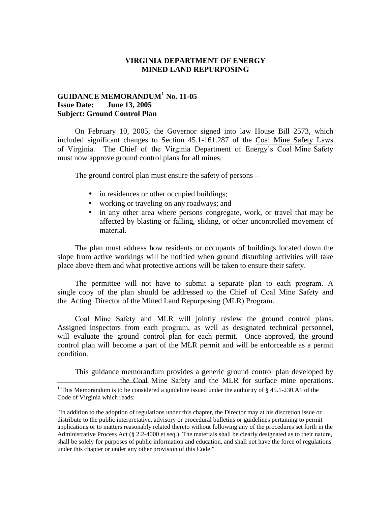### **VIRGINIA DEPARTMENT OF ENERGY MINED LAND REPURPOSING**

# **GUIDANCE MEMORANDUM<sup>1</sup> No. 11-05 Issue Date: June 13, 2005 Subject: Ground Control Plan**

On February 10, 2005, the Governor signed into law House Bill 2573, which included significant changes to Section 45.1-161.287 of the Coal Mine Safety Laws of Virginia. The Chief of the Virginia Department of Energy's Coal Mine Safety must now approve ground control plans for all mines.

The ground control plan must ensure the safety of persons –

- in residences or other occupied buildings;
- working or traveling on any roadways; and
- in any other area where persons congregate, work, or travel that may be affected by blasting or falling, sliding, or other uncontrolled movement of material.

The plan must address how residents or occupants of buildings located down the slope from active workings will be notified when ground disturbing activities will take place above them and what protective actions will be taken to ensure their safety.

The permittee will not have to submit a separate plan to each program. A single copy of the plan should be addressed to the Chief of Coal Mine Safety and the Acting Director of the Mined Land Repurposing (MLR) Program.

Coal Mine Safety and MLR will jointly review the ground control plans. Assigned inspectors from each program, as well as designated technical personnel, will evaluate the ground control plan for each permit. Once approved, the ground control plan will become a part of the MLR permit and will be enforceable as a permit condition.

This guidance memorandum provides a generic ground control plan developed by the Coal Mine Safety and the MLR for surface mine operations. <sup>1</sup> This Memorandum is to be considered a guideline issued under the authority of § 45.1-230.A1 of the Code of Virginia which reads:

<sup>&</sup>quot;In addition to the adoption of regulations under this chapter, the Director may at his discretion issue or distribute to the public interpretative, advisory or procedural bulletins or guidelines pertaining to permit applications or to matters reasonably related thereto without following any of the procedures set forth in the Administrative Process Act (§ 2.2-4000 et seq.). The materials shall be clearly designated as to their nature, shall be solely for purposes of public information and education, and shall not have the force of regulations under this chapter or under any other provision of this Code."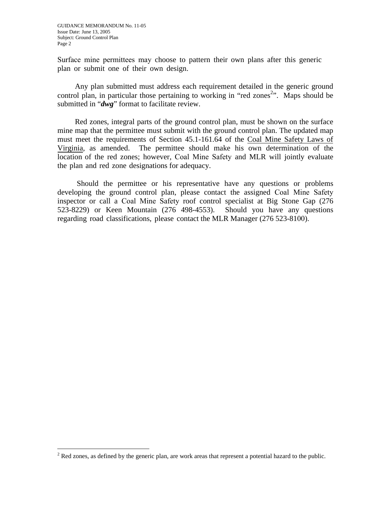Surface mine permittees may choose to pattern their own plans after this generic plan or submit one of their own design.

Any plan submitted must address each requirement detailed in the generic ground control plan, in particular those pertaining to working in "red zones<sup>2</sup>". Maps should be submitted in "*dwg*" format to facilitate review.

Red zones, integral parts of the ground control plan, must be shown on the surface mine map that the permittee must submit with the ground control plan. The updated map must meet the requirements of Section 45.1-161.64 of the Coal Mine Safety Laws of Virginia, as amended. The permittee should make his own determination of the location of the red zones; however, Coal Mine Safety and MLR will jointly evaluate the plan and red zone designations for adequacy.

Should the permittee or his representative have any questions or problems developing the ground control plan, please contact the assigned Coal Mine Safety inspector or call a Coal Mine Safety roof control specialist at Big Stone Gap (276 523-8229) or Keen Mountain (276 498-4553). Should you have any questions regarding road classifications, please contact the MLR Manager (276 523-8100).

 $2^2$  Red zones, as defined by the generic plan, are work areas that represent a potential hazard to the public.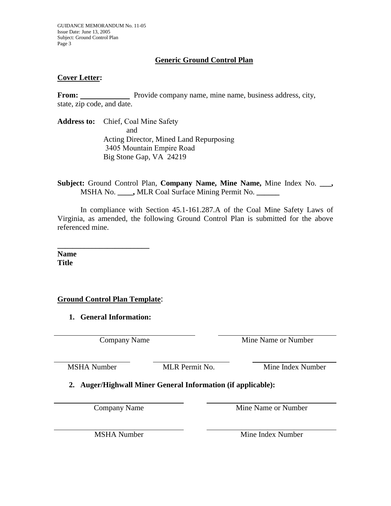GUIDANCE MEMORANDUM No. 11-05 Issue Date: June 13, 2005 Subject: Ground Control Plan Page 3

# **Generic Ground Control Plan**

## **Cover Letter:**

**From:** Provide company name, mine name, business address, city, state, zip code, and date.

**Address to:** Chief, Coal Mine Safety and Acting Director, Mined Land Repurposing 3405 Mountain Empire Road Big Stone Gap, VA 24219

**Subject:** Ground Control Plan, **Company Name, Mine Name,** Mine Index No. **\_\_\_,**  MSHA No. **\_\_\_\_,** MLR Coal Surface Mining Permit No. **\_\_\_\_\_\_** 

In compliance with Section 45.1-161.287.A of the Coal Mine Safety Laws of Virginia, as amended, the following Ground Control Plan is submitted for the above referenced mine.

**Name Title** 

# **Ground Control Plan Template**:

**\_\_\_\_\_\_\_\_\_\_\_\_\_\_\_\_\_\_\_\_\_\_\_\_** 

**1. General Information:**

Company Name Mine Name or Number

MSHA Number MLR Permit No. Mine Index Number

**2. Auger/Highwall Miner General Information (if applicable):**

Company Name Mine Name or Number

MSHA Number Mine Index Number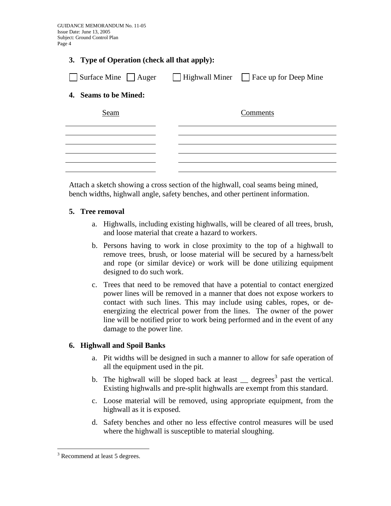#### **3. Type of Operation (check all that apply):**

| Surface Mine Auger    |  | $\Box$ Highwall Miner $\Box$ Face up for Deep Mine |
|-----------------------|--|----------------------------------------------------|
| 4. Seams to be Mined: |  |                                                    |
| Seam                  |  | Comments                                           |
|                       |  |                                                    |
|                       |  |                                                    |
|                       |  |                                                    |

Attach a sketch showing a cross section of the highwall, coal seams being mined, bench widths, highwall angle, safety benches, and other pertinent information.

#### **5. Tree removal**

- a. Highwalls, including existing highwalls, will be cleared of all trees, brush, and loose material that create a hazard to workers.
- b. Persons having to work in close proximity to the top of a highwall to remove trees, brush, or loose material will be secured by a harness/belt and rope (or similar device) or work will be done utilizing equipment designed to do such work.
- c. Trees that need to be removed that have a potential to contact energized power lines will be removed in a manner that does not expose workers to contact with such lines. This may include using cables, ropes, or deenergizing the electrical power from the lines. The owner of the power line will be notified prior to work being performed and in the event of any damage to the power line.

### **6. Highwall and Spoil Banks**

- a. Pit widths will be designed in such a manner to allow for safe operation of all the equipment used in the pit.
- b. The highwall will be sloped back at least  $\equiv$  degrees<sup>3</sup> past the vertical. Existing highwalls and pre-split highwalls are exempt from this standard.
- c. Loose material will be removed, using appropriate equipment, from the highwall as it is exposed.
- d. Safety benches and other no less effective control measures will be used where the highwall is susceptible to material sloughing.

<sup>&</sup>lt;sup>3</sup> Recommend at least 5 degrees.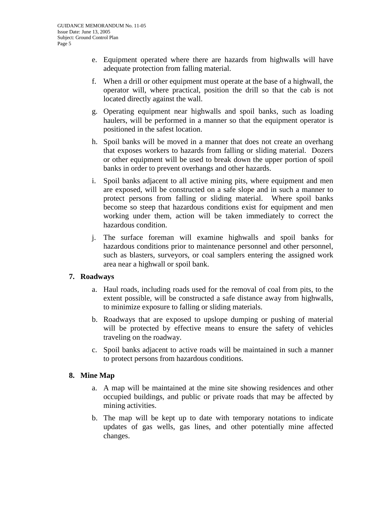- e. Equipment operated where there are hazards from highwalls will have adequate protection from falling material.
- f. When a drill or other equipment must operate at the base of a highwall, the operator will, where practical, position the drill so that the cab is not located directly against the wall.
- g. Operating equipment near highwalls and spoil banks, such as loading haulers, will be performed in a manner so that the equipment operator is positioned in the safest location.
- h. Spoil banks will be moved in a manner that does not create an overhang that exposes workers to hazards from falling or sliding material. Dozers or other equipment will be used to break down the upper portion of spoil banks in order to prevent overhangs and other hazards.
- i. Spoil banks adjacent to all active mining pits, where equipment and men are exposed, will be constructed on a safe slope and in such a manner to protect persons from falling or sliding material. Where spoil banks become so steep that hazardous conditions exist for equipment and men working under them, action will be taken immediately to correct the hazardous condition.
- j. The surface foreman will examine highwalls and spoil banks for hazardous conditions prior to maintenance personnel and other personnel, such as blasters, surveyors, or coal samplers entering the assigned work area near a highwall or spoil bank.

# **7. Roadways**

- a. Haul roads, including roads used for the removal of coal from pits, to the extent possible, will be constructed a safe distance away from highwalls, to minimize exposure to falling or sliding materials.
- b. Roadways that are exposed to upslope dumping or pushing of material will be protected by effective means to ensure the safety of vehicles traveling on the roadway.
- c. Spoil banks adjacent to active roads will be maintained in such a manner to protect persons from hazardous conditions.

# **8. Mine Map**

- a. A map will be maintained at the mine site showing residences and other occupied buildings, and public or private roads that may be affected by mining activities.
- b. The map will be kept up to date with temporary notations to indicate updates of gas wells, gas lines, and other potentially mine affected changes.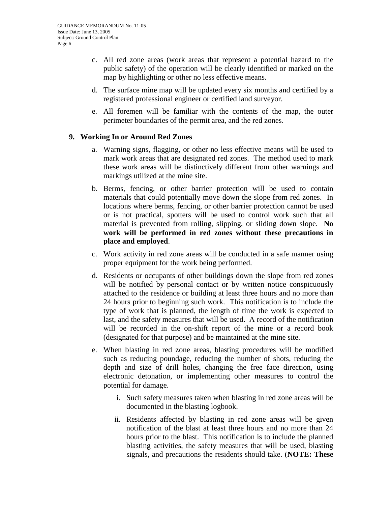- c. All red zone areas (work areas that represent a potential hazard to the public safety) of the operation will be clearly identified or marked on the map by highlighting or other no less effective means.
- d. The surface mine map will be updated every six months and certified by a registered professional engineer or certified land surveyor.
- e. All foremen will be familiar with the contents of the map, the outer perimeter boundaries of the permit area, and the red zones.

### **9. Working In or Around Red Zones**

- a. Warning signs, flagging, or other no less effective means will be used to mark work areas that are designated red zones. The method used to mark these work areas will be distinctively different from other warnings and markings utilized at the mine site.
- b. Berms, fencing, or other barrier protection will be used to contain materials that could potentially move down the slope from red zones. In locations where berms, fencing, or other barrier protection cannot be used or is not practical, spotters will be used to control work such that all material is prevented from rolling, slipping, or sliding down slope. **No work will be performed in red zones without these precautions in place and employed**.
- c. Work activity in red zone areas will be conducted in a safe manner using proper equipment for the work being performed.
- d. Residents or occupants of other buildings down the slope from red zones will be notified by personal contact or by written notice conspicuously attached to the residence or building at least three hours and no more than 24 hours prior to beginning such work. This notification is to include the type of work that is planned, the length of time the work is expected to last, and the safety measures that will be used. A record of the notification will be recorded in the on-shift report of the mine or a record book (designated for that purpose) and be maintained at the mine site.
- e. When blasting in red zone areas, blasting procedures will be modified such as reducing poundage, reducing the number of shots, reducing the depth and size of drill holes, changing the free face direction, using electronic detonation, or implementing other measures to control the potential for damage.
	- i. Such safety measures taken when blasting in red zone areas will be documented in the blasting logbook.
	- ii. Residents affected by blasting in red zone areas will be given notification of the blast at least three hours and no more than 24 hours prior to the blast. This notification is to include the planned blasting activities, the safety measures that will be used, blasting signals, and precautions the residents should take. (**NOTE: These**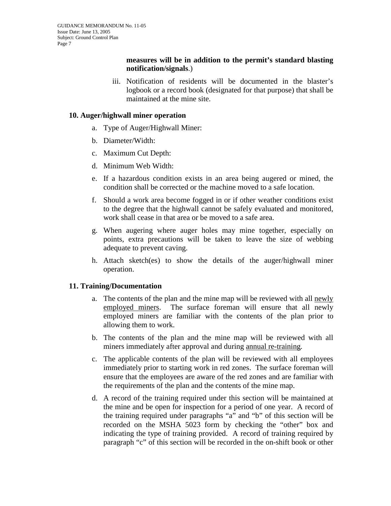### **measures will be in addition to the permit's standard blasting notification/signals**.)

iii. Notification of residents will be documented in the blaster's logbook or a record book (designated for that purpose) that shall be maintained at the mine site.

#### **10. Auger/highwall miner operation**

- a. Type of Auger/Highwall Miner:
- b. Diameter/Width:
- c. Maximum Cut Depth:
- d. Minimum Web Width:
- e. If a hazardous condition exists in an area being augered or mined, the condition shall be corrected or the machine moved to a safe location.
- f. Should a work area become fogged in or if other weather conditions exist to the degree that the highwall cannot be safely evaluated and monitored, work shall cease in that area or be moved to a safe area.
- g. When augering where auger holes may mine together, especially on points, extra precautions will be taken to leave the size of webbing adequate to prevent caving.
- h. Attach sketch(es) to show the details of the auger/highwall miner operation.

### **11. Training/Documentation**

- a. The contents of the plan and the mine map will be reviewed with all newly employed miners. The surface foreman will ensure that all newly employed miners are familiar with the contents of the plan prior to allowing them to work.
- b. The contents of the plan and the mine map will be reviewed with all miners immediately after approval and during annual re-training.
- c. The applicable contents of the plan will be reviewed with all employees immediately prior to starting work in red zones. The surface foreman will ensure that the employees are aware of the red zones and are familiar with the requirements of the plan and the contents of the mine map.
- d. A record of the training required under this section will be maintained at the mine and be open for inspection for a period of one year. A record of the training required under paragraphs "a" and "b" of this section will be recorded on the MSHA 5023 form by checking the "other" box and indicating the type of training provided. A record of training required by paragraph "c" of this section will be recorded in the on-shift book or other